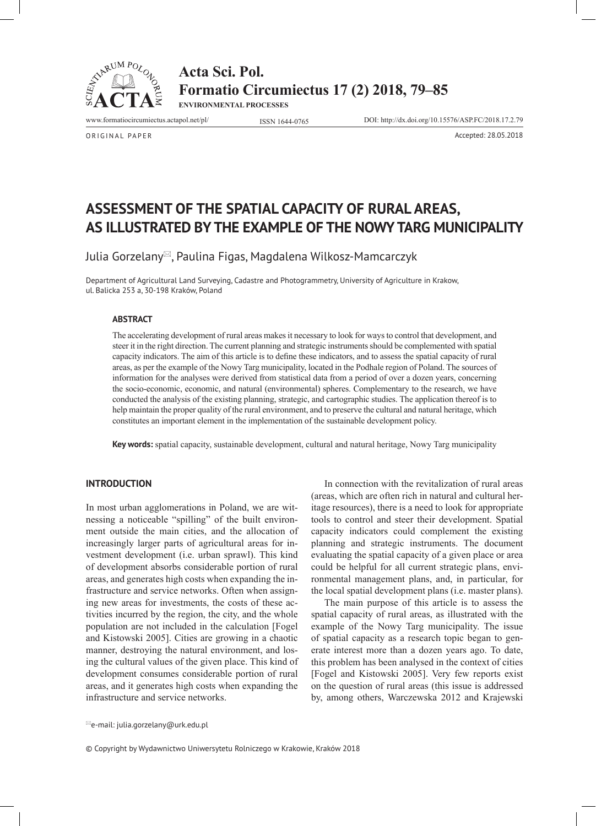

**Acta Sci. Pol. Formatio Circumiectus 17 (2) 2018, 79–85 ENVIRONMENTAL PROCESSES**

www.formatiocircumiectus.actapol.net/pl/ ISSN 1644-0765 DOI: http://dx.doi.org/10.15576/ASP.FC/2018.17.2.79

ORIGINAL PAPER Accepted: 28.05.2018

# **ASSESSMENT OF THE SPATIAL CAPACITY OF RURAL AREAS, AS ILLUSTRATED BY THE EXAMPLE OF THE NOWY TARG MUNICIPALITY**

Julia Gorzelany $\mathbb{Z}$ , Paulina Figas, Magdalena Wilkosz-Mamcarczyk

Department of Agricultural Land Surveying, Cadastre and Photogrammetry, University of Agriculture in Krakow, ul. Balicka 253 a, 30-198 Kraków, Poland

## **ABSTRACT**

The accelerating development of rural areas makes it necessary to look for ways to control that development, and steer it in the right direction. The current planning and strategic instruments should be complemented with spatial capacity indicators. The aim of this article is to define these indicators, and to assess the spatial capacity of rural areas, as per the example of the Nowy Targ municipality, located in the Podhale region of Poland. The sources of information for the analyses were derived from statistical data from a period of over a dozen years, concerning the socio-economic, economic, and natural (environmental) spheres. Complementary to the research, we have conducted the analysis of the existing planning, strategic, and cartographic studies. The application thereof is to help maintain the proper quality of the rural environment, and to preserve the cultural and natural heritage, which constitutes an important element in the implementation of the sustainable development policy.

**Key words:** spatial capacity, sustainable development, cultural and natural heritage, Nowy Targ municipality

# **INTRODUCTION**

In most urban agglomerations in Poland, we are witnessing a noticeable "spilling" of the built environment outside the main cities, and the allocation of increasingly larger parts of agricultural areas for investment development (i.e. urban sprawl). This kind of development absorbs considerable portion of rural areas, and generates high costs when expanding the infrastructure and service networks. Often when assigning new areas for investments, the costs of these activities incurred by the region, the city, and the whole population are not included in the calculation [Fogel and Kistowski 2005]. Cities are growing in a chaotic manner, destroying the natural environment, and losing the cultural values of the given place. This kind of development consumes considerable portion of rural areas, and it generates high costs when expanding the infrastructure and service networks.

In connection with the revitalization of rural areas (areas, which are often rich in natural and cultural heritage resources), there is a need to look for appropriate tools to control and steer their development. Spatial capacity indicators could complement the existing planning and strategic instruments. The document evaluating the spatial capacity of a given place or area could be helpful for all current strategic plans, environmental management plans, and, in particular, for the local spatial development plans (i.e. master plans).

The main purpose of this article is to assess the spatial capacity of rural areas, as illustrated with the example of the Nowy Targ municipality. The issue of spatial capacity as a research topic began to generate interest more than a dozen years ago. To date, this problem has been analysed in the context of cities [Fogel and Kistowski 2005]. Very few reports exist on the question of rural areas (this issue is addressed by, among others, Warczewska 2012 and Krajewski

e-mail: julia.gorzelany@urk.edu.pl

© Copyright by Wydawnictwo Uniwersytetu Rolniczego w Krakowie, Kraków 2018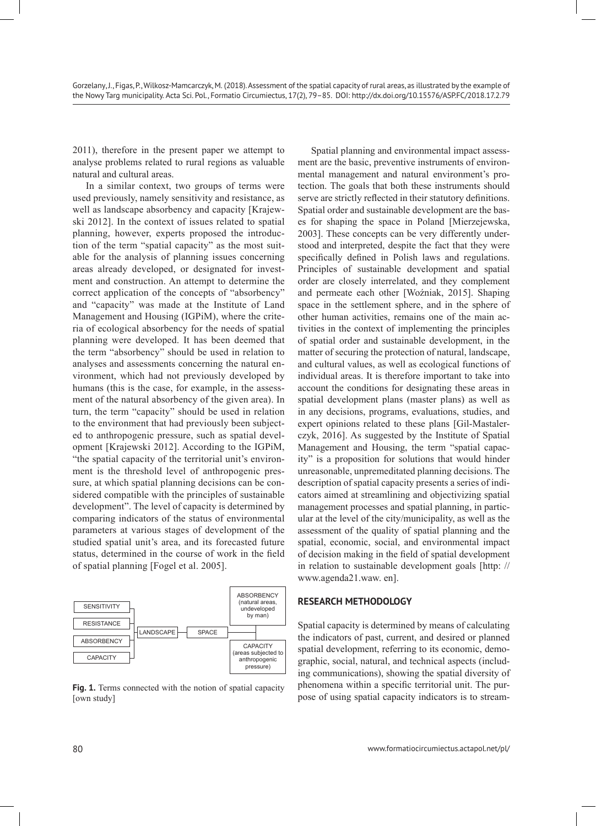2011), therefore in the present paper we attempt to analyse problems related to rural regions as valuable natural and cultural areas.

In a similar context, two groups of terms were used previously, namely sensitivity and resistance, as well as landscape absorbency and capacity [Krajewski 2012]. In the context of issues related to spatial planning, however, experts proposed the introduction of the term "spatial capacity" as the most suitable for the analysis of planning issues concerning areas already developed, or designated for investment and construction. An attempt to determine the correct application of the concepts of "absorbency" and "capacity" was made at the Institute of Land Management and Housing (IGPiM), where the criteria of ecological absorbency for the needs of spatial planning were developed. It has been deemed that the term "absorbency" should be used in relation to analyses and assessments concerning the natural environment, which had not previously developed by humans (this is the case, for example, in the assessment of the natural absorbency of the given area). In turn, the term "capacity" should be used in relation to the environment that had previously been subjected to anthropogenic pressure, such as spatial development [Krajewski 2012]. According to the IGPiM, "the spatial capacity of the territorial unit's environment is the threshold level of anthropogenic pressure, at which spatial planning decisions can be considered compatible with the principles of sustainable development". The level of capacity is determined by comparing indicators of the status of environmental parameters at various stages of development of the studied spatial unit's area, and its forecasted future status, determined in the course of work in the field of spatial planning [Fogel et al. 2005].



[own study]

Spatial planning and environmental impact assessment are the basic, preventive instruments of environmental management and natural environment's protection. The goals that both these instruments should serve are strictly reflected in their statutory definitions. Spatial order and sustainable development are the bases for shaping the space in Poland [Mierzejewska, 2003]. These concepts can be very differently understood and interpreted, despite the fact that they were specifically defined in Polish laws and regulations. Principles of sustainable development and spatial order are closely interrelated, and they complement and permeate each other [Woźniak, 2015]. Shaping space in the settlement sphere, and in the sphere of other human activities, remains one of the main activities in the context of implementing the principles of spatial order and sustainable development, in the matter of securing the protection of natural, landscape, and cultural values, as well as ecological functions of individual areas. It is therefore important to take into account the conditions for designating these areas in spatial development plans (master plans) as well as in any decisions, programs, evaluations, studies, and expert opinions related to these plans [Gil-Mastalerczyk, 2016]. As suggested by the Institute of Spatial Management and Housing, the term "spatial capacity" is a proposition for solutions that would hinder unreasonable, unpremeditated planning decisions. The description of spatial capacity presents a series of indicators aimed at streamlining and objectivizing spatial management processes and spatial planning, in particular at the level of the city/municipality, as well as the assessment of the quality of spatial planning and the spatial, economic, social, and environmental impact of decision making in the field of spatial development in relation to sustainable development goals [http: // www.agenda21.waw. en].

# **RESEARCH METHODOLOGY**

Spatial capacity is determined by means of calculating the indicators of past, current, and desired or planned spatial development, referring to its economic, demographic, social, natural, and technical aspects (including communications), showing the spatial diversity of phenomena within a specific territorial unit. The pur-**Fig. 1.** Terms connected with the notion of spatial capacity phenomena within a specific territorial unit. The pur-<br>fown study pose of using spatial capacity indicators is to stream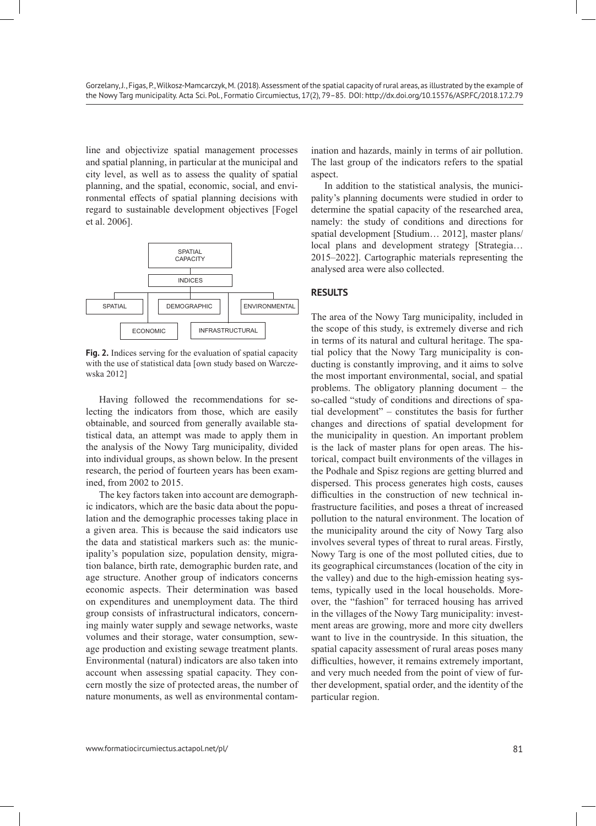line and objectivize spatial management processes and spatial planning, in particular at the municipal and city level, as well as to assess the quality of spatial planning, and the spatial, economic, social, and environmental effects of spatial planning decisions with regard to sustainable development objectives [Fogel et al. 2006].



**Fig. 2.** Indices serving for the evaluation of spatial capacity with the use of statistical data [own study based on Warczewska 2012]

Having followed the recommendations for selecting the indicators from those, which are easily obtainable, and sourced from generally available statistical data, an attempt was made to apply them in the analysis of the Nowy Targ municipality, divided into individual groups, as shown below. In the present research, the period of fourteen years has been examined, from 2002 to 2015.

The key factors taken into account are demographic indicators, which are the basic data about the population and the demographic processes taking place in a given area. This is because the said indicators use the data and statistical markers such as: the municipality's population size, population density, migration balance, birth rate, demographic burden rate, and age structure. Another group of indicators concerns economic aspects. Their determination was based on expenditures and unemployment data. The third group consists of infrastructural indicators, concerning mainly water supply and sewage networks, waste volumes and their storage, water consumption, sewage production and existing sewage treatment plants. Environmental (natural) indicators are also taken into account when assessing spatial capacity. They concern mostly the size of protected areas, the number of nature monuments, as well as environmental contam-

ination and hazards, mainly in terms of air pollution. The last group of the indicators refers to the spatial aspect.

In addition to the statistical analysis, the municipality's planning documents were studied in order to determine the spatial capacity of the researched area, namely: the study of conditions and directions for spatial development [Studium… 2012], master plans/ local plans and development strategy [Strategia… 2015–2022]. Cartographic materials representing the analysed area were also collected.

# **RESULTS**

The area of the Nowy Targ municipality, included in the scope of this study, is extremely diverse and rich in terms of its natural and cultural heritage. The spatial policy that the Nowy Targ municipality is conducting is constantly improving, and it aims to solve the most important environmental, social, and spatial problems. The obligatory planning document – the so-called "study of conditions and directions of spatial development" – constitutes the basis for further changes and directions of spatial development for the municipality in question. An important problem is the lack of master plans for open areas. The historical, compact built environments of the villages in the Podhale and Spisz regions are getting blurred and dispersed. This process generates high costs, causes difficulties in the construction of new technical infrastructure facilities, and poses a threat of increased pollution to the natural environment. The location of the municipality around the city of Nowy Targ also involves several types of threat to rural areas. Firstly, Nowy Targ is one of the most polluted cities, due to its geographical circumstances (location of the city in the valley) and due to the high-emission heating systems, typically used in the local households. Moreover, the "fashion" for terraced housing has arrived in the villages of the Nowy Targ municipality: investment areas are growing, more and more city dwellers want to live in the countryside. In this situation, the spatial capacity assessment of rural areas poses many difficulties, however, it remains extremely important, and very much needed from the point of view of further development, spatial order, and the identity of the particular region.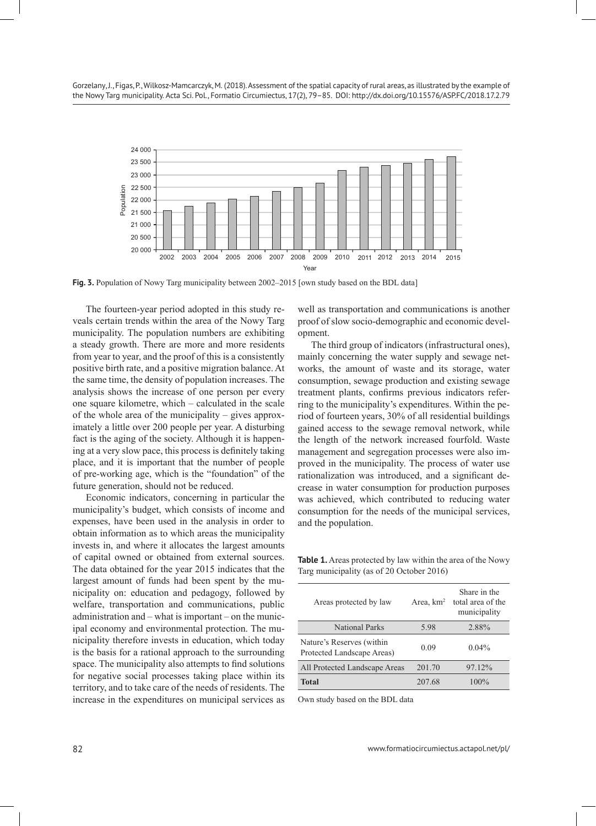

**Fig. 3.** Population of Nowy Targ municipality between 2002–2015 [own study based on the BDL data]

The fourteen-year period adopted in this study reveals certain trends within the area of the Nowy Targ municipality. The population numbers are exhibiting a steady growth. There are more and more residents from year to year, and the proof of this is a consistently positive birth rate, and a positive migration balance. At the same time, the density of population increases. The analysis shows the increase of one person per every one square kilometre, which – calculated in the scale of the whole area of the municipality – gives approximately a little over 200 people per year. A disturbing fact is the aging of the society. Although it is happening at a very slow pace, this process is definitely taking place, and it is important that the number of people of pre-working age, which is the "foundation" of the future generation, should not be reduced.

Economic indicators, concerning in particular the municipality's budget, which consists of income and expenses, have been used in the analysis in order to obtain information as to which areas the municipality invests in, and where it allocates the largest amounts of capital owned or obtained from external sources. The data obtained for the year 2015 indicates that the largest amount of funds had been spent by the municipality on: education and pedagogy, followed by welfare, transportation and communications, public administration and – what is important – on the municipal economy and environmental protection. The municipality therefore invests in education, which today is the basis for a rational approach to the surrounding space. The municipality also attempts to find solutions for negative social processes taking place within its territory, and to take care of the needs of residents. The increase in the expenditures on municipal services as

well as transportation and communications is another proof of slow socio-demographic and economic development.

The third group of indicators (infrastructural ones), mainly concerning the water supply and sewage networks, the amount of waste and its storage, water consumption, sewage production and existing sewage treatment plants, confirms previous indicators referring to the municipality's expenditures. Within the period of fourteen years, 30% of all residential buildings gained access to the sewage removal network, while the length of the network increased fourfold. Waste management and segregation processes were also improved in the municipality. The process of water use rationalization was introduced, and a significant decrease in water consumption for production purposes was achieved, which contributed to reducing water consumption for the needs of the municipal services, and the population.

Table 1. Areas protected by law within the area of the Nowy Targ municipality (as of 20 October 2016)

| Areas protected by law                                  | Area, $km2$ | Share in the<br>total area of the<br>municipality |
|---------------------------------------------------------|-------------|---------------------------------------------------|
| <b>National Parks</b>                                   | 5.98        | 2.88%                                             |
| Nature's Reserves (within<br>Protected Landscape Areas) | 0.09        | $0.04\%$                                          |
| All Protected Landscape Areas                           | 201.70      | 97.12%                                            |
| <b>Total</b>                                            | 207.68      | $100\%$                                           |

Own study based on the BDL data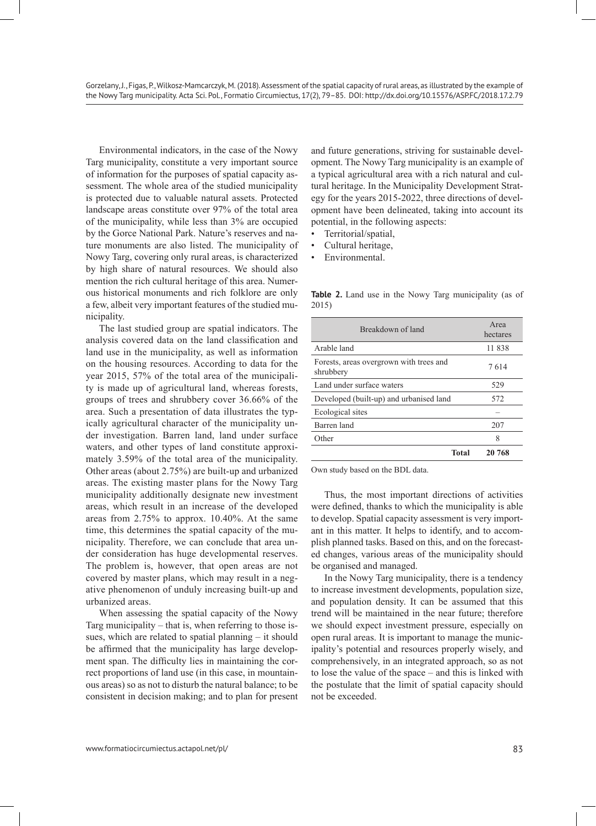Environmental indicators, in the case of the Nowy Targ municipality, constitute a very important source of information for the purposes of spatial capacity assessment. The whole area of the studied municipality is protected due to valuable natural assets. Protected landscape areas constitute over 97% of the total area of the municipality, while less than 3% are occupied by the Gorce National Park. Nature's reserves and nature monuments are also listed. The municipality of Nowy Targ, covering only rural areas, is characterized by high share of natural resources. We should also mention the rich cultural heritage of this area. Numerous historical monuments and rich folklore are only a few, albeit very important features of the studied municipality.

The last studied group are spatial indicators. The analysis covered data on the land classification and land use in the municipality, as well as information on the housing resources. According to data for the year 2015, 57% of the total area of the municipality is made up of agricultural land, whereas forests, groups of trees and shrubbery cover 36.66% of the area. Such a presentation of data illustrates the typically agricultural character of the municipality under investigation. Barren land, land under surface waters, and other types of land constitute approximately 3.59% of the total area of the municipality. Other areas (about 2.75%) are built-up and urbanized areas. The existing master plans for the Nowy Targ municipality additionally designate new investment areas, which result in an increase of the developed areas from 2.75% to approx. 10.40%. At the same time, this determines the spatial capacity of the municipality. Therefore, we can conclude that area under consideration has huge developmental reserves. The problem is, however, that open areas are not covered by master plans, which may result in a negative phenomenon of unduly increasing built-up and urbanized areas.

When assessing the spatial capacity of the Nowy Targ municipality – that is, when referring to those issues, which are related to spatial planning – it should be affirmed that the municipality has large development span. The difficulty lies in maintaining the correct proportions of land use (in this case, in mountainous areas) so as not to disturb the natural balance; to be consistent in decision making; and to plan for present

and future generations, striving for sustainable development. The Nowy Targ municipality is an example of a typical agricultural area with a rich natural and cultural heritage. In the Municipality Development Strategy for the years 2015-2022, three directions of development have been delineated, taking into account its potential, in the following aspects:

- Territorial/spatial,
- Cultural heritage,
- Environmental.

| Breakdown of land                                    | Area<br>hectares |
|------------------------------------------------------|------------------|
| Arable land                                          | 11 838           |
| Forests, areas overgrown with trees and<br>shrubbery | 7614             |
| Land under surface waters                            | 529              |
| Developed (built-up) and urbanised land              | 572              |
| Ecological sites                                     |                  |
| Barren land                                          | 207              |
| Other                                                | 8                |
| <b>Total</b>                                         | 20 768           |

**Table 2.** Land use in the Nowy Targ municipality (as of 2015)

Own study based on the BDL data.

Thus, the most important directions of activities were defined, thanks to which the municipality is able to develop. Spatial capacity assessment is very important in this matter. It helps to identify, and to accomplish planned tasks. Based on this, and on the forecasted changes, various areas of the municipality should be organised and managed.

In the Nowy Targ municipality, there is a tendency to increase investment developments, population size, and population density. It can be assumed that this trend will be maintained in the near future; therefore we should expect investment pressure, especially on open rural areas. It is important to manage the municipality's potential and resources properly wisely, and comprehensively, in an integrated approach, so as not to lose the value of the space – and this is linked with the postulate that the limit of spatial capacity should not be exceeded.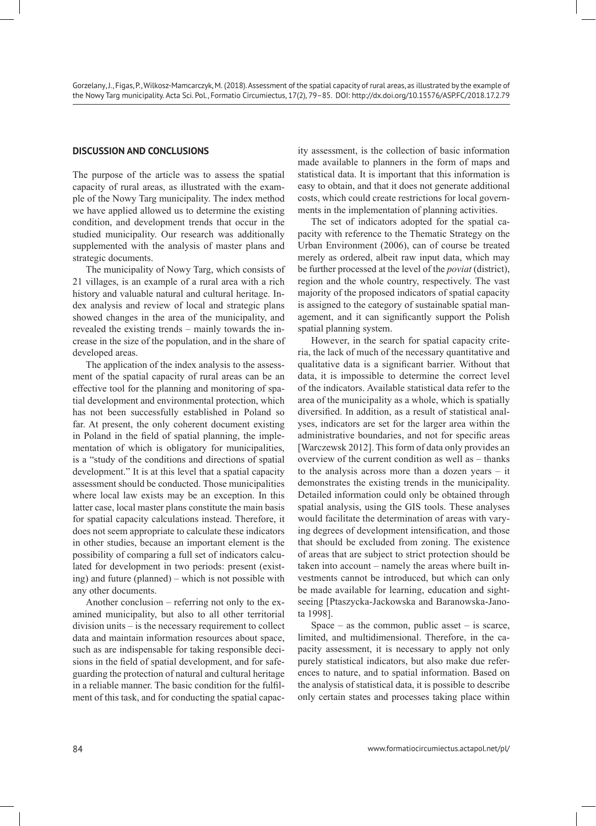# **DISCUSSION AND CONCLUSIONS**

The purpose of the article was to assess the spatial capacity of rural areas, as illustrated with the example of the Nowy Targ municipality. The index method we have applied allowed us to determine the existing condition, and development trends that occur in the studied municipality. Our research was additionally supplemented with the analysis of master plans and strategic documents.

The municipality of Nowy Targ, which consists of 21 villages, is an example of a rural area with a rich history and valuable natural and cultural heritage. Index analysis and review of local and strategic plans showed changes in the area of the municipality, and revealed the existing trends – mainly towards the increase in the size of the population, and in the share of developed areas.

The application of the index analysis to the assessment of the spatial capacity of rural areas can be an effective tool for the planning and monitoring of spatial development and environmental protection, which has not been successfully established in Poland so far. At present, the only coherent document existing in Poland in the field of spatial planning, the implementation of which is obligatory for municipalities, is a "study of the conditions and directions of spatial development." It is at this level that a spatial capacity assessment should be conducted. Those municipalities where local law exists may be an exception. In this latter case, local master plans constitute the main basis for spatial capacity calculations instead. Therefore, it does not seem appropriate to calculate these indicators in other studies, because an important element is the possibility of comparing a full set of indicators calculated for development in two periods: present (existing) and future (planned) – which is not possible with any other documents.

Another conclusion – referring not only to the examined municipality, but also to all other territorial division units – is the necessary requirement to collect data and maintain information resources about space, such as are indispensable for taking responsible decisions in the field of spatial development, and for safeguarding the protection of natural and cultural heritage in a reliable manner. The basic condition for the fulfilment of this task, and for conducting the spatial capac-

ity assessment, is the collection of basic information made available to planners in the form of maps and statistical data. It is important that this information is easy to obtain, and that it does not generate additional costs, which could create restrictions for local governments in the implementation of planning activities.

The set of indicators adopted for the spatial capacity with reference to the Thematic Strategy on the Urban Environment (2006), can of course be treated merely as ordered, albeit raw input data, which may be further processed at the level of the *poviat* (district), region and the whole country, respectively. The vast majority of the proposed indicators of spatial capacity is assigned to the category of sustainable spatial management, and it can significantly support the Polish spatial planning system.

However, in the search for spatial capacity criteria, the lack of much of the necessary quantitative and qualitative data is a significant barrier. Without that data, it is impossible to determine the correct level of the indicators. Available statistical data refer to the area of the municipality as a whole, which is spatially diversified. In addition, as a result of statistical analyses, indicators are set for the larger area within the administrative boundaries, and not for specific areas [Warczewsk 2012]. This form of data only provides an overview of the current condition as well as – thanks to the analysis across more than a dozen years – it demonstrates the existing trends in the municipality. Detailed information could only be obtained through spatial analysis, using the GIS tools. These analyses would facilitate the determination of areas with varying degrees of development intensification, and those that should be excluded from zoning. The existence of areas that are subject to strict protection should be taken into account – namely the areas where built investments cannot be introduced, but which can only be made available for learning, education and sightseeing [Ptaszycka-Jackowska and Baranowska-Janota 1998].

Space – as the common, public asset – is scarce, limited, and multidimensional. Therefore, in the capacity assessment, it is necessary to apply not only purely statistical indicators, but also make due references to nature, and to spatial information. Based on the analysis of statistical data, it is possible to describe only certain states and processes taking place within